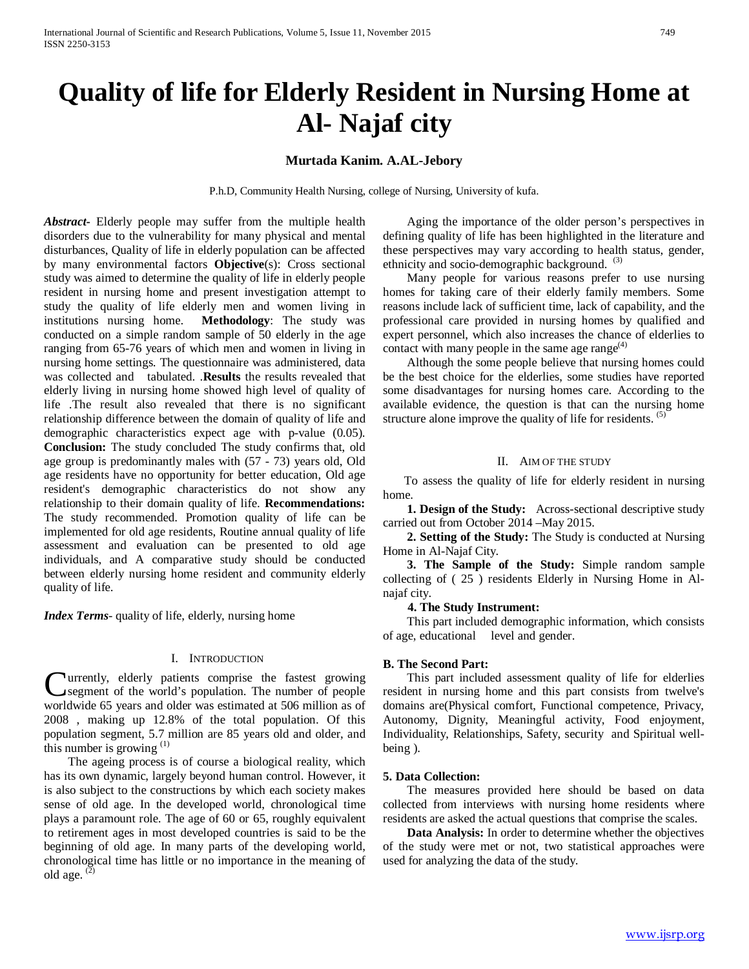# **Quality of life for Elderly Resident in Nursing Home at Al- Najaf city**

# **Murtada Kanim. A.AL-Jebory**

P.h.D, Community Health Nursing, college of Nursing, University of kufa.

*Abstract***-** Elderly people may suffer from the multiple health disorders due to the vulnerability for many physical and mental disturbances, Quality of life in elderly population can be affected by many environmental factors **Objective**(s): Cross sectional study was aimed to determine the quality of life in elderly people resident in nursing home and present investigation attempt to study the quality of life elderly men and women living in institutions nursing home. **Methodology**: The study was conducted on a simple random sample of 50 elderly in the age ranging from 65-76 years of which men and women in living in nursing home settings. The questionnaire was administered, data was collected and tabulated. .**Results** the results revealed that elderly living in nursing home showed high level of quality of life .The result also revealed that there is no significant relationship difference between the domain of quality of life and demographic characteristics expect age with p-value (0.05). **Conclusion:** The study concluded The study confirms that, old age group is predominantly males with (57 - 73) years old, Old age residents have no opportunity for better education, Old age resident's demographic characteristics do not show any relationship to their domain quality of life. **Recommendations:** The study recommended. Promotion quality of life can be implemented for old age residents, Routine annual quality of life assessment and evaluation can be presented to old age individuals, and A comparative study should be conducted between elderly nursing home resident and community elderly quality of life.

*Index Terms-* quality of life, elderly, nursing home

### I. INTRODUCTION

urrently, elderly patients comprise the fastest growing segment of the world's population. The number of people **C**urrently, elderly patients comprise the fastest growing segment of the world's population. The number of people worldwide 65 years and older was estimated at 506 million as of 2008 , making up 12.8% of the total population. Of this population segment, 5.7 million are 85 years old and older, and this number is growing (1)

 The ageing process is of course a biological reality, which has its own dynamic, largely beyond human control. However, it is also subject to the constructions by which each society makes sense of old age. In the developed world, chronological time plays a paramount role. The age of 60 or 65, roughly equivalent to retirement ages in most developed countries is said to be the beginning of old age. In many parts of the developing world, chronological time has little or no importance in the meaning of old age.  $(2)$ 

 Aging the importance of the older person's perspectives in defining quality of life has been highlighted in the literature and these perspectives may vary according to health status, gender, ethnicity and socio-demographic background.  $(3)$ 

 Many people for various reasons prefer to use nursing homes for taking care of their elderly family members. Some reasons include lack of sufficient time, lack of capability, and the professional care provided in nursing homes by qualified and expert personnel, which also increases the chance of elderlies to contact with many people in the same age range $^{(4)}$ 

 Although the some people believe that nursing homes could be the best choice for the elderlies, some studies have reported some disadvantages for nursing homes care. According to the available evidence, the question is that can the nursing home structure alone improve the quality of life for residents.  $(5)$ 

## II. AIM OF THE STUDY

To assess the quality of life for elderly resident in nursing home.

**1. Design of the Study:** Across-sectional descriptive study carried out from October 2014 –May 2015.

 **2. Setting of the Study:** The Study is conducted at Nursing Home in Al-Najaf City.

 **3. The Sample of the Study:** Simple random sample collecting of ( 25 ) residents Elderly in Nursing Home in Alnajaf city.

## **4. The Study Instrument:**

 This part included demographic information, which consists of age, educational level and gender.

## **B. The Second Part:**

 This part included assessment quality of life for elderlies resident in nursing home and this part consists from twelve's domains are(Physical comfort, Functional competence, Privacy, Autonomy, Dignity, Meaningful activity, Food enjoyment, Individuality, Relationships, Safety, security and Spiritual wellbeing ).

#### **5. Data Collection:**

 The measures provided here should be based on data collected from interviews with nursing home residents where residents are asked the actual questions that comprise the scales.

 **Data Analysis:** In order to determine whether the objectives of the study were met or not, two statistical approaches were used for analyzing the data of the study.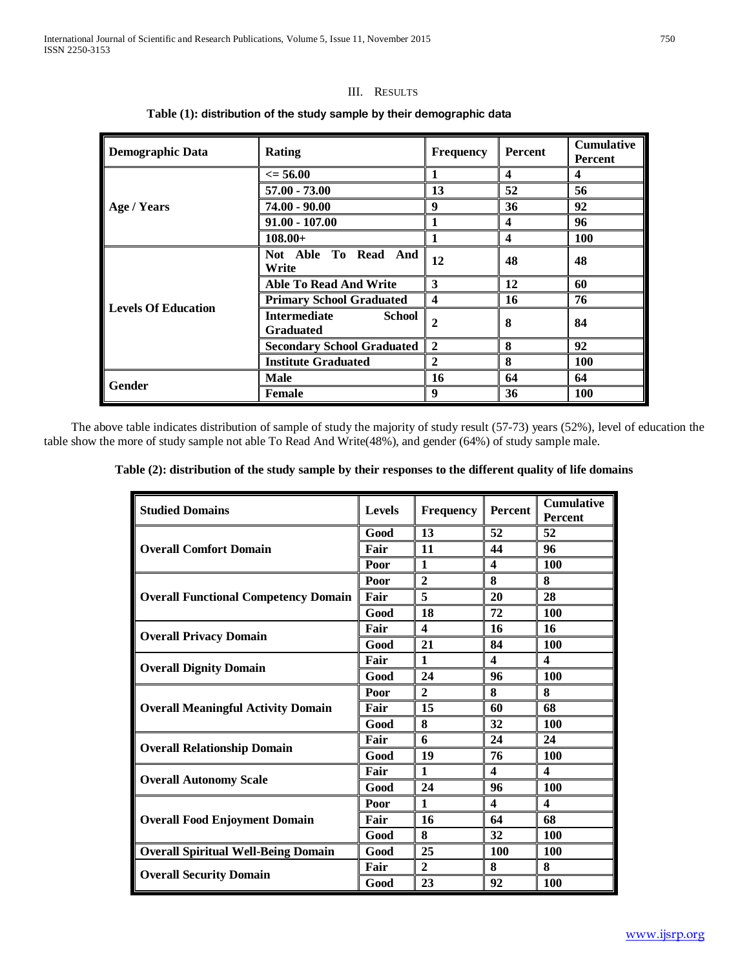# III. RESULTS

| <b>Demographic Data</b>    | Rating                                                   | <b>Frequency</b>        | Percent                 | <b>Cumulative</b><br>Percent |
|----------------------------|----------------------------------------------------------|-------------------------|-------------------------|------------------------------|
|                            | $\epsilon = 56.00$                                       |                         | $\overline{\mathbf{4}}$ | $\overline{\mathbf{4}}$      |
|                            | 57.00 - 73.00                                            | 13                      | 52                      | 56                           |
| Age / Years                | $74.00 - 90.00$                                          | 9                       | 36                      | 92                           |
|                            | $91.00 - 107.00$                                         | 1                       | $\overline{\mathbf{4}}$ | 96                           |
|                            | $108.00+$                                                | 1                       | $\boldsymbol{4}$        | 100                          |
| <b>Levels Of Education</b> | Not Able To Read And<br>Write                            | 12                      | 48                      | 48                           |
|                            | <b>Able To Read And Write</b>                            | 3                       | 12                      | 60                           |
|                            | <b>Primary School Graduated</b>                          | $\overline{\mathbf{4}}$ | 16                      | 76                           |
|                            | <b>Intermediate</b><br><b>School</b><br><b>Graduated</b> | $\overline{2}$          | 8                       | 84                           |
|                            | <b>Secondary School Graduated</b>                        | $\overline{2}$          | 8                       | 92                           |
|                            | <b>Institute Graduated</b>                               | $\mathbf{2}$            | 8                       | <b>100</b>                   |
|                            | <b>Male</b>                                              | 16                      | 64                      | 64                           |
| Gender                     | <b>Female</b>                                            | 9                       | 36                      | <b>100</b>                   |

# **Table (1): distribution of the study sample by their demographic data**

 The above table indicates distribution of sample of study the majority of study result (57-73) years (52%), level of education the table show the more of study sample not able To Read And Write(48%), and gender (64%) of study sample male.

|  |  |  | Table (2): distribution of the study sample by their responses to the different quality of life domains |  |
|--|--|--|---------------------------------------------------------------------------------------------------------|--|
|  |  |  |                                                                                                         |  |

| <b>Studied Domains</b>                      | <b>Levels</b>                                                      | <b>Frequency</b>                                                                                                                                                                                                                                  | Percent | <b>Cumulative</b><br><b>Percent</b> |
|---------------------------------------------|--------------------------------------------------------------------|---------------------------------------------------------------------------------------------------------------------------------------------------------------------------------------------------------------------------------------------------|---------|-------------------------------------|
|                                             | Good                                                               | 13                                                                                                                                                                                                                                                | 52      | 52                                  |
| <b>Overall Comfort Domain</b>               | Fair                                                               | 11                                                                                                                                                                                                                                                | 44      | 96                                  |
|                                             | Poor                                                               | $\mathbf{1}$                                                                                                                                                                                                                                      | 4       | 100                                 |
|                                             | Poor                                                               | $\overline{2}$                                                                                                                                                                                                                                    | 8       | 8                                   |
| <b>Overall Functional Competency Domain</b> | Fair                                                               | 5                                                                                                                                                                                                                                                 | 20      | 28                                  |
|                                             | Good                                                               | 18                                                                                                                                                                                                                                                | 72      | 100                                 |
|                                             | Fair                                                               | 4<br>16<br>21<br>84<br>1<br>4<br>24<br>96<br>$\mathbf{2}$<br>8<br>15<br>60<br>8<br>32<br>6<br>24<br>19<br>76<br>$\mathbf{1}$<br>$\overline{\mathbf{4}}$<br>24<br>96<br>$\mathbf{1}$<br>4<br>16<br>64<br>8<br>32<br>25<br>100<br>$\mathbf{2}$<br>8 | 16      |                                     |
| <b>Overall Privacy Domain</b>               | Good                                                               |                                                                                                                                                                                                                                                   |         | 100                                 |
|                                             | Fair                                                               |                                                                                                                                                                                                                                                   |         | $\overline{\mathbf{4}}$             |
| <b>Overall Dignity Domain</b>               | Good                                                               |                                                                                                                                                                                                                                                   |         | 100                                 |
| <b>Overall Meaningful Activity Domain</b>   | Poor                                                               |                                                                                                                                                                                                                                                   |         | 8                                   |
|                                             | Fair                                                               |                                                                                                                                                                                                                                                   |         | 68                                  |
|                                             | Good                                                               |                                                                                                                                                                                                                                                   |         | 100                                 |
| <b>Overall Relationship Domain</b>          | Fair                                                               |                                                                                                                                                                                                                                                   |         | 24                                  |
|                                             | Good                                                               |                                                                                                                                                                                                                                                   | 92      | <b>100</b>                          |
| <b>Overall Autonomy Scale</b>               | Fair<br>Good<br>Poor<br>Fair<br>Good<br>Good<br>Fair<br>23<br>Good | $\overline{\mathbf{4}}$                                                                                                                                                                                                                           |         |                                     |
|                                             |                                                                    |                                                                                                                                                                                                                                                   |         | <b>100</b>                          |
| <b>Overall Food Enjoyment Domain</b>        |                                                                    |                                                                                                                                                                                                                                                   |         | $\overline{\mathbf{4}}$             |
|                                             |                                                                    |                                                                                                                                                                                                                                                   |         | 68                                  |
|                                             |                                                                    |                                                                                                                                                                                                                                                   |         | 100                                 |
| <b>Overall Spiritual Well-Being Domain</b>  |                                                                    |                                                                                                                                                                                                                                                   |         | <b>100</b>                          |
|                                             |                                                                    |                                                                                                                                                                                                                                                   |         | 8                                   |
| <b>Overall Security Domain</b>              |                                                                    |                                                                                                                                                                                                                                                   |         | <b>100</b>                          |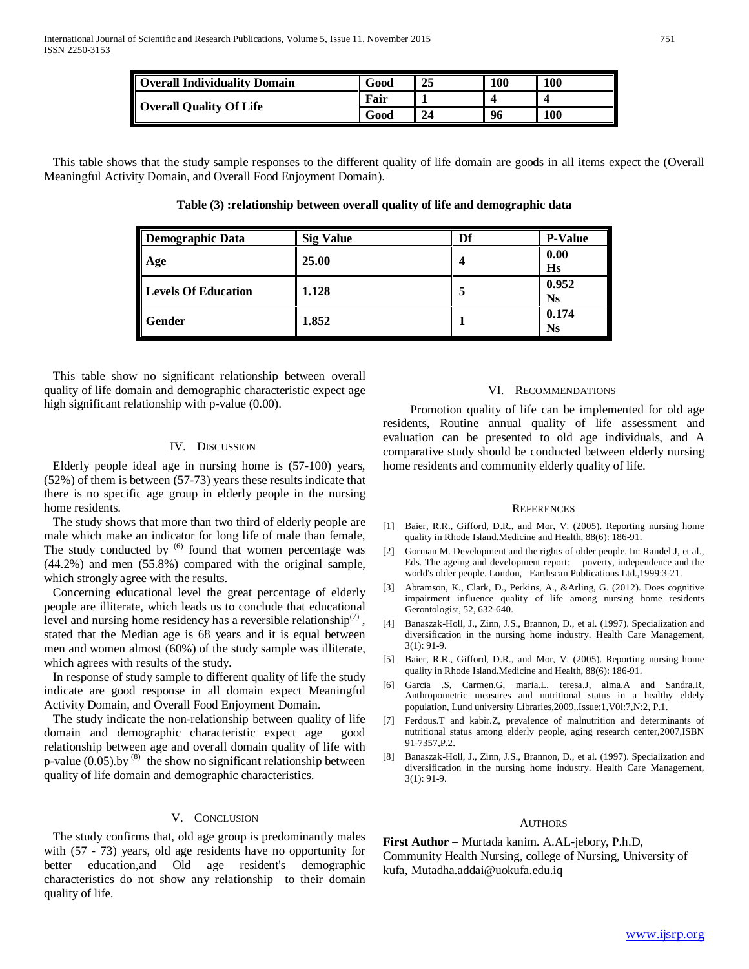| Overall Individuality Domain | Good | 25 | 100 | <b>100</b> |
|------------------------------|------|----|-----|------------|
| Overall Quality Of Life      | Fair |    |     |            |
|                              | Good | 24 | 96  | <b>100</b> |

 This table shows that the study sample responses to the different quality of life domain are goods in all items expect the (Overall Meaningful Activity Domain, and Overall Food Enjoyment Domain).

**Table (3) :relationship between overall quality of life and demographic data**

| <b>Demographic Data</b>    | <b>Sig Value</b> | Df | <b>P-Value</b>     |
|----------------------------|------------------|----|--------------------|
| Age                        | 25.00            |    | 0.00<br><b>Hs</b>  |
| <b>Levels Of Education</b> | 1.128            |    | 0.952<br><b>Ns</b> |
| Gender                     | 1.852            |    | 0.174<br><b>Ns</b> |

 This table show no significant relationship between overall quality of life domain and demographic characteristic expect age high significant relationship with p-value (0.00).

## IV. DISCUSSION

 Elderly people ideal age in nursing home is (57-100) years, (52%) of them is between (57-73) years these results indicate that there is no specific age group in elderly people in the nursing home residents.

 The study shows that more than two third of elderly people are male which make an indicator for long life of male than female, The study conducted by <sup>(6)</sup> found that women percentage was (44.2%) and men (55.8%) compared with the original sample, which strongly agree with the results.

 Concerning educational level the great percentage of elderly people are illiterate, which leads us to conclude that educational level and nursing home residency has a reversible relationship<sup>(7)</sup>, stated that the Median age is 68 years and it is equal between men and women almost (60%) of the study sample was illiterate, which agrees with results of the study.

 In response of study sample to different quality of life the study indicate are good response in all domain expect Meaningful Activity Domain, and Overall Food Enjoyment Domain.

 The study indicate the non-relationship between quality of life domain and demographic characteristic expect age good relationship between age and overall domain quality of life with p-value  $(0.05)$ .by <sup>(8)</sup> the show no significant relationship between quality of life domain and demographic characteristics.

## V. CONCLUSION

 The study confirms that, old age group is predominantly males with (57 - 73) years, old age residents have no opportunity for better education,and Old age resident's demographic characteristics do not show any relationship to their domain quality of life.

## VI. RECOMMENDATIONS

 Promotion quality of life can be implemented for old age residents, Routine annual quality of life assessment and evaluation can be presented to old age individuals, and A comparative study should be conducted between elderly nursing home residents and community elderly quality of life.

#### **REFERENCES**

- [1] Baier, R.R., Gifford, D.R., and Mor, V. (2005). Reporting nursing home quality in Rhode Island.Medicine and Health, 88(6): 186-91.
- [2] Gorman M. Development and the rights of older people. In: Randel J, et al., Eds. The ageing and development report: poverty, independence and the world's older people. London, Earthscan Publications Ltd.,1999:3-21.
- [3] Abramson, K., Clark, D., Perkins, A., &Arling, G. (2012). Does cognitive impairment influence quality of life among nursing home residents Gerontologist, 52, 632-640.
- [4] Banaszak-Holl, J., Zinn, J.S., Brannon, D., et al. (1997). Specialization and diversification in the nursing home industry. Health Care Management, 3(1): 91-9.
- [5] Baier, R.R., Gifford, D.R., and Mor, V. (2005). Reporting nursing home quality in Rhode Island.Medicine and Health, 88(6): 186-91.
- [6] Garcia .S, Carmen.G, maria.L, teresa.J, alma.A and Sandra.R, Anthropometric measures and nutritional status in a healthy eldely population, Lund university Libraries,2009,.Issue:1,V0l:7,N:2, P.1.
- [7] Ferdous.T and kabir.Z, prevalence of malnutrition and determinants of nutritional status among elderly people, aging research center,2007,ISBN 91-7357,P.2.
- [8] Banaszak-Holl, J., Zinn, J.S., Brannon, D., et al. (1997). Specialization and diversification in the nursing home industry. Health Care Management, 3(1): 91-9.

#### AUTHORS

**First Author** – Murtada kanim. A.AL-jebory, P.h.D, Community Health Nursing, college of Nursing, University of kufa, Mutadha.addai@uokufa.edu.iq